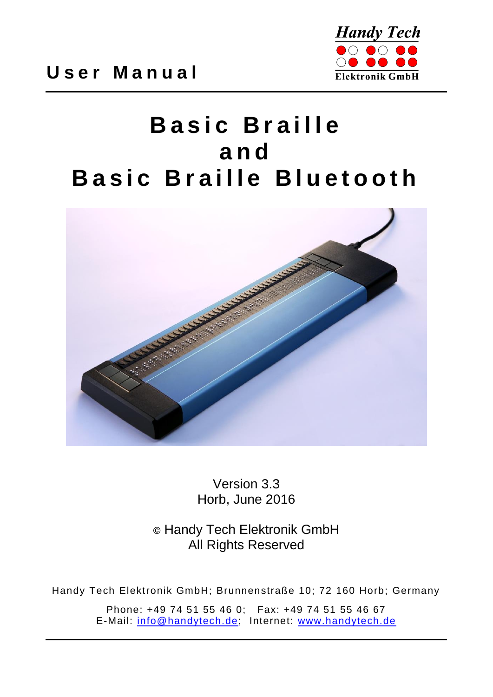

# **Basic Braille a n d Basic Braille Bluetooth**



Version 3.3 Horb, June 2016

**©** Handy Tech Elektronik GmbH All Rights Reserved

Handy Tech Elektronik GmbH; Brunnenstraße 10; 72 160 Horb; Germany

Phone: +49 74 51 55 46 0; Fax: +49 74 51 55 46 67 E-Mail: [info@handytech.de;](mailto:info@handytech.de) Internet: [www.handytech.de](http://www.handytech.de/)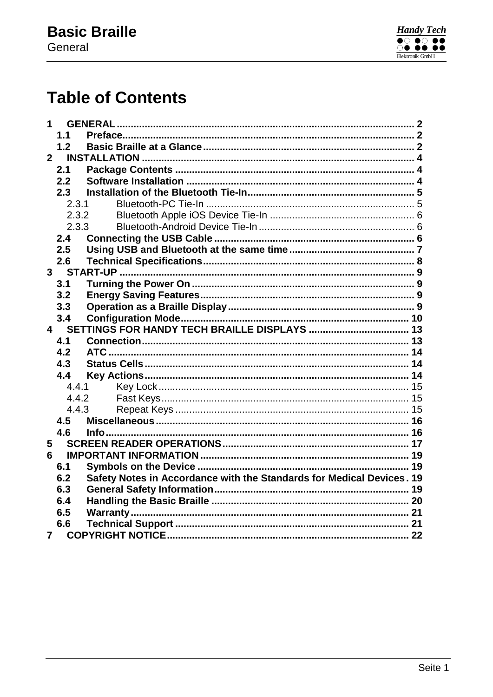

## **Table of Contents**

| 1              |                |                                                                       |  |  |
|----------------|----------------|-----------------------------------------------------------------------|--|--|
|                | 1.1            |                                                                       |  |  |
|                | 1.2            |                                                                       |  |  |
| 2 <sup>1</sup> |                |                                                                       |  |  |
|                | 2.1            |                                                                       |  |  |
|                | 2.2            |                                                                       |  |  |
|                | 2.3            |                                                                       |  |  |
|                | 2.3.1          |                                                                       |  |  |
|                | 2.3.2          |                                                                       |  |  |
|                | 2.3.3          |                                                                       |  |  |
|                | 2.4            |                                                                       |  |  |
|                | 2.5            |                                                                       |  |  |
|                | 2.6            |                                                                       |  |  |
|                | 3 <sup>7</sup> |                                                                       |  |  |
|                | 3.1            |                                                                       |  |  |
|                | 3.2            |                                                                       |  |  |
|                | 3.3            |                                                                       |  |  |
|                | 3.4            |                                                                       |  |  |
| $\overline{4}$ |                |                                                                       |  |  |
|                | 4.1            |                                                                       |  |  |
|                | 4.2            |                                                                       |  |  |
|                | 4.3            |                                                                       |  |  |
|                | 4.4            |                                                                       |  |  |
|                | 4.4.1          |                                                                       |  |  |
|                | 4.4.2          |                                                                       |  |  |
|                | 4.4.3          |                                                                       |  |  |
|                | 4.5            |                                                                       |  |  |
|                | 4.6            |                                                                       |  |  |
| 5              |                |                                                                       |  |  |
| 6              |                |                                                                       |  |  |
|                | 6.1            |                                                                       |  |  |
|                | 6.2            | Safety Notes in Accordance with the Standards for Medical Devices. 19 |  |  |
|                | 6.3            |                                                                       |  |  |
|                | 6.4            |                                                                       |  |  |
|                | 6.5            |                                                                       |  |  |
|                | 6.6            |                                                                       |  |  |
| 7              |                |                                                                       |  |  |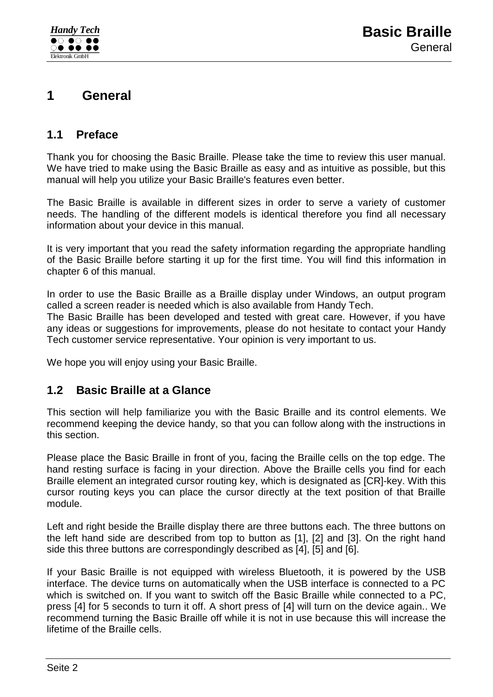## <span id="page-2-0"></span>**1 General**

### <span id="page-2-1"></span>**1.1 Preface**

Thank you for choosing the Basic Braille. Please take the time to review this user manual. We have tried to make using the Basic Braille as easy and as intuitive as possible, but this manual will help you utilize your Basic Braille's features even better.

The Basic Braille is available in different sizes in order to serve a variety of customer needs. The handling of the different models is identical therefore you find all necessary information about your device in this manual.

It is very important that you read the safety information regarding the appropriate handling of the Basic Braille before starting it up for the first time. You will find this information in chapter [6](#page-19-0) of this manual.

In order to use the Basic Braille as a Braille display under Windows, an output program called a screen reader is needed which is also available from Handy Tech.

The Basic Braille has been developed and tested with great care. However, if you have any ideas or suggestions for improvements, please do not hesitate to contact your Handy Tech customer service representative. Your opinion is very important to us.

<span id="page-2-2"></span>We hope you will enjoy using your Basic Braille.

### **1.2 Basic Braille at a Glance**

This section will help familiarize you with the Basic Braille and its control elements. We recommend keeping the device handy, so that you can follow along with the instructions in this section.

Please place the Basic Braille in front of you, facing the Braille cells on the top edge. The hand resting surface is facing in your direction. Above the Braille cells you find for each Braille element an integrated cursor routing key, which is designated as [CR]-key. With this cursor routing keys you can place the cursor directly at the text position of that Braille module.

Left and right beside the Braille display there are three buttons each. The three buttons on the left hand side are described from top to button as [1], [2] and [3]. On the right hand side this three buttons are correspondingly described as [4], [5] and [6].

If your Basic Braille is not equipped with wireless Bluetooth, it is powered by the USB interface. The device turns on automatically when the USB interface is connected to a PC which is switched on. If you want to switch off the Basic Braille while connected to a PC, press [4] for 5 seconds to turn it off. A short press of [4] will turn on the device again.. We recommend turning the Basic Braille off while it is not in use because this will increase the lifetime of the Braille cells.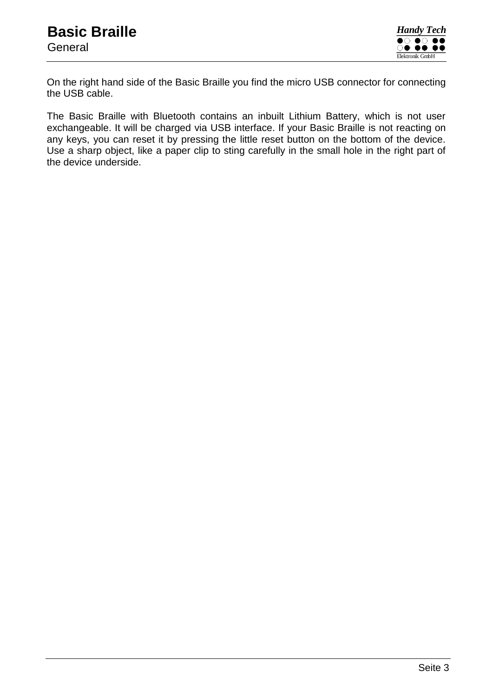On the right hand side of the Basic Braille you find the micro USB connector for connecting the USB cable.

The Basic Braille with Bluetooth contains an inbuilt Lithium Battery, which is not user exchangeable. It will be charged via USB interface. If your Basic Braille is not reacting on any keys, you can reset it by pressing the little reset button on the bottom of the device. Use a sharp object, like a paper clip to sting carefully in the small hole in the right part of the device underside.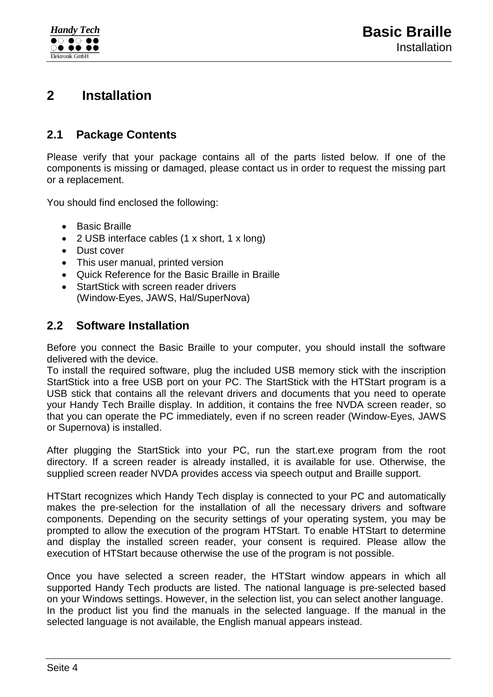### <span id="page-4-0"></span>**2 Installation**

### <span id="page-4-1"></span>**2.1 Package Contents**

Please verify that your package contains all of the parts listed below. If one of the components is missing or damaged, please contact us in order to request the missing part or a replacement.

You should find enclosed the following:

- Basic Braille
- 2 USB interface cables (1 x short, 1 x long)
- Dust cover
- This user manual, printed version
- Quick Reference for the Basic Braille in Braille
- StartStick with screen reader drivers (Window-Eyes, JAWS, Hal/SuperNova)

### <span id="page-4-2"></span>**2.2 Software Installation**

Before you connect the Basic Braille to your computer, you should install the software delivered with the device.

To install the required software, plug the included USB memory stick with the inscription StartStick into a free USB port on your PC. The StartStick with the HTStart program is a USB stick that contains all the relevant drivers and documents that you need to operate your Handy Tech Braille display. In addition, it contains the free NVDA screen reader, so that you can operate the PC immediately, even if no screen reader (Window-Eyes, JAWS or Supernova) is installed.

After plugging the StartStick into your PC, run the start.exe program from the root directory. If a screen reader is already installed, it is available for use. Otherwise, the supplied screen reader NVDA provides access via speech output and Braille support.

HTStart recognizes which Handy Tech display is connected to your PC and automatically makes the pre-selection for the installation of all the necessary drivers and software components. Depending on the security settings of your operating system, you may be prompted to allow the execution of the program HTStart. To enable HTStart to determine and display the installed screen reader, your consent is required. Please allow the execution of HTStart because otherwise the use of the program is not possible.

Once you have selected a screen reader, the HTStart window appears in which all supported Handy Tech products are listed. The national language is pre-selected based on your Windows settings. However, in the selection list, you can select another language. In the product list you find the manuals in the selected language. If the manual in the selected language is not available, the English manual appears instead.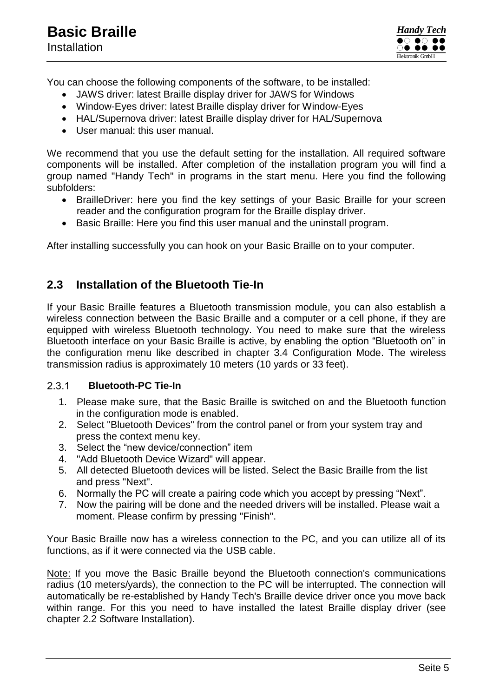

You can choose the following components of the software, to be installed:

- JAWS driver: latest Braille display driver for JAWS for Windows
- Window-Eyes driver: latest Braille display driver for Window-Eyes
- HAL/Supernova driver: latest Braille display driver for HAL/Supernova
- User manual: this user manual.

We recommend that you use the default setting for the installation. All required software components will be installed. After completion of the installation program you will find a group named "Handy Tech" in programs in the start menu. Here you find the following subfolders:

- BrailleDriver: here you find the key settings of your Basic Braille for your screen reader and the configuration program for the Braille display driver.
- Basic Braille: Here you find this user manual and the uninstall program.

After installing successfully you can hook on your Basic Braille on to your computer.

### <span id="page-5-0"></span>**2.3 Installation of the Bluetooth Tie-In**

If your Basic Braille features a Bluetooth transmission module, you can also establish a wireless connection between the Basic Braille and a computer or a cell phone, if they are equipped with wireless Bluetooth technology. You need to make sure that the wireless Bluetooth interface on your Basic Braille is active, by enabling the option "Bluetooth on" in the configuration menu like described in chapter [3.4](#page-10-0) [Configuration Mode.](#page-10-0) The wireless transmission radius is approximately 10 meters (10 yards or 33 feet).

#### <span id="page-5-1"></span> $2.3.1$ **Bluetooth-PC Tie-In**

- 1. Please make sure, that the Basic Braille is switched on and the Bluetooth function in the configuration mode is enabled.
- 2. Select "Bluetooth Devices" from the control panel or from your system tray and press the context menu key.
- 3. Select the "new device/connection" item
- 4. "Add Bluetooth Device Wizard" will appear.
- 5. All detected Bluetooth devices will be listed. Select the Basic Braille from the list and press "Next".
- 6. Normally the PC will create a pairing code which you accept by pressing "Next".
- 7. Now the pairing will be done and the needed drivers will be installed. Please wait a moment. Please confirm by pressing "Finish".

Your Basic Braille now has a wireless connection to the PC, and you can utilize all of its functions, as if it were connected via the USB cable.

Note: If you move the Basic Braille beyond the Bluetooth connection's communications radius (10 meters/yards), the connection to the PC will be interrupted. The connection will automatically be re-established by Handy Tech's Braille device driver once you move back within range. For this you need to have installed the latest Braille display driver (see chapter [2.2](#page-4-2) [Software Installation\)](#page-4-2).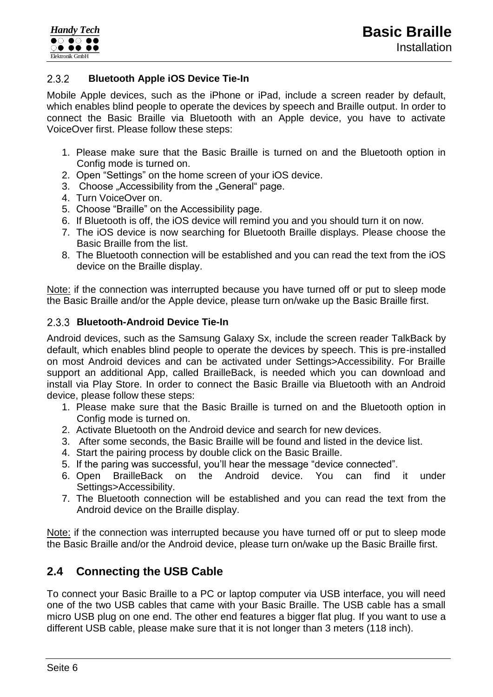#### <span id="page-6-0"></span> $2.3.2$ **Bluetooth Apple iOS Device Tie-In**

Mobile Apple devices, such as the iPhone or iPad, include a screen reader by default, which enables blind people to operate the devices by speech and Braille output. In order to connect the Basic Braille via Bluetooth with an Apple device, you have to activate VoiceOver first. Please follow these steps:

- 1. Please make sure that the Basic Braille is turned on and the Bluetooth option in Config mode is turned on.
- 2. Open "Settings" on the home screen of your iOS device.
- 3. Choose "Accessibility from the "General" page.
- 4. Turn VoiceOver on.
- 5. Choose "Braille" on the Accessibility page.
- 6. If Bluetooth is off, the iOS device will remind you and you should turn it on now.
- 7. The iOS device is now searching for Bluetooth Braille displays. Please choose the Basic Braille from the list.
- 8. The Bluetooth connection will be established and you can read the text from the iOS device on the Braille display.

Note: if the connection was interrupted because you have turned off or put to sleep mode the Basic Braille and/or the Apple device, please turn on/wake up the Basic Braille first.

#### <span id="page-6-1"></span>**Bluetooth-Android Device Tie-In**

Android devices, such as the Samsung Galaxy Sx, include the screen reader TalkBack by default, which enables blind people to operate the devices by speech. This is pre-installed on most Android devices and can be activated under Settings>Accessibility. For Braille support an additional App, called BrailleBack, is needed which you can download and install via Play Store. In order to connect the Basic Braille via Bluetooth with an Android device, please follow these steps:

- 1. Please make sure that the Basic Braille is turned on and the Bluetooth option in Config mode is turned on.
- 2. Activate Bluetooth on the Android device and search for new devices.
- 3. After some seconds, the Basic Braille will be found and listed in the device list.
- 4. Start the pairing process by double click on the Basic Braille.
- 5. If the paring was successful, you'll hear the message "device connected".
- 6. Open BrailleBack on the Android device. You can find it under Settings>Accessibility.
- 7. The Bluetooth connection will be established and you can read the text from the Android device on the Braille display.

Note: if the connection was interrupted because you have turned off or put to sleep mode the Basic Braille and/or the Android device, please turn on/wake up the Basic Braille first.

### <span id="page-6-2"></span>**2.4 Connecting the USB Cable**

To connect your Basic Braille to a PC or laptop computer via USB interface, you will need one of the two USB cables that came with your Basic Braille. The USB cable has a small micro USB plug on one end. The other end features a bigger flat plug. If you want to use a different USB cable, please make sure that it is not longer than 3 meters (118 inch).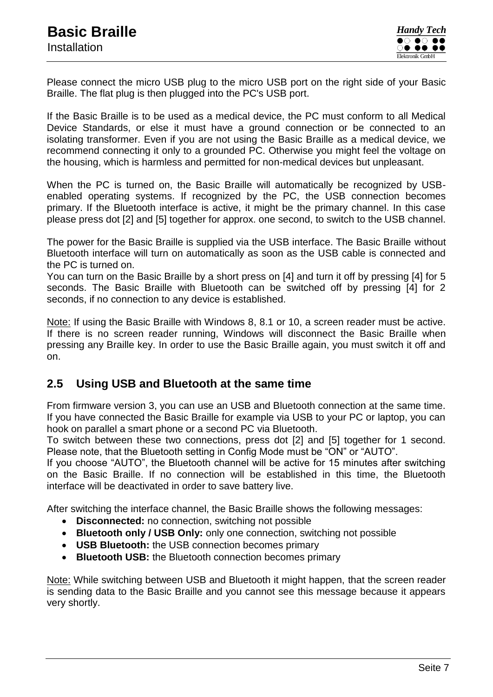Please connect the micro USB plug to the micro USB port on the right side of your Basic Braille. The flat plug is then plugged into the PC's USB port.

If the Basic Braille is to be used as a medical device, the PC must conform to all Medical Device Standards, or else it must have a ground connection or be connected to an isolating transformer. Even if you are not using the Basic Braille as a medical device, we recommend connecting it only to a grounded PC. Otherwise you might feel the voltage on the housing, which is harmless and permitted for non-medical devices but unpleasant.

When the PC is turned on, the Basic Braille will automatically be recognized by USBenabled operating systems. If recognized by the PC, the USB connection becomes primary. If the Bluetooth interface is active, it might be the primary channel. In this case please press dot [2] and [5] together for approx. one second, to switch to the USB channel.

The power for the Basic Braille is supplied via the USB interface. The Basic Braille without Bluetooth interface will turn on automatically as soon as the USB cable is connected and the PC is turned on.

You can turn on the Basic Braille by a short press on [4] and turn it off by pressing [4] for 5 seconds. The Basic Braille with Bluetooth can be switched off by pressing [4] for 2 seconds, if no connection to any device is established.

Note: If using the Basic Braille with Windows 8, 8.1 or 10, a screen reader must be active. If there is no screen reader running, Windows will disconnect the Basic Braille when pressing any Braille key. In order to use the Basic Braille again, you must switch it off and on.

### <span id="page-7-0"></span>**2.5 Using USB and Bluetooth at the same time**

From firmware version 3, you can use an USB and Bluetooth connection at the same time. If you have connected the Basic Braille for example via USB to your PC or laptop, you can hook on parallel a smart phone or a second PC via Bluetooth.

To switch between these two connections, press dot [2] and [5] together for 1 second. Please note, that the Bluetooth setting in Config Mode must be "ON" or "AUTO".

If you choose "AUTO", the Bluetooth channel will be active for 15 minutes after switching on the Basic Braille. If no connection will be established in this time, the Bluetooth interface will be deactivated in order to save battery live.

After switching the interface channel, the Basic Braille shows the following messages:

- **Disconnected:** no connection, switching not possible
- **Bluetooth only / USB Only:** only one connection, switching not possible
- **USB Bluetooth:** the USB connection becomes primary
- **Bluetooth USB:** the Bluetooth connection becomes primary

Note: While switching between USB and Bluetooth it might happen, that the screen reader is sending data to the Basic Braille and you cannot see this message because it appears very shortly.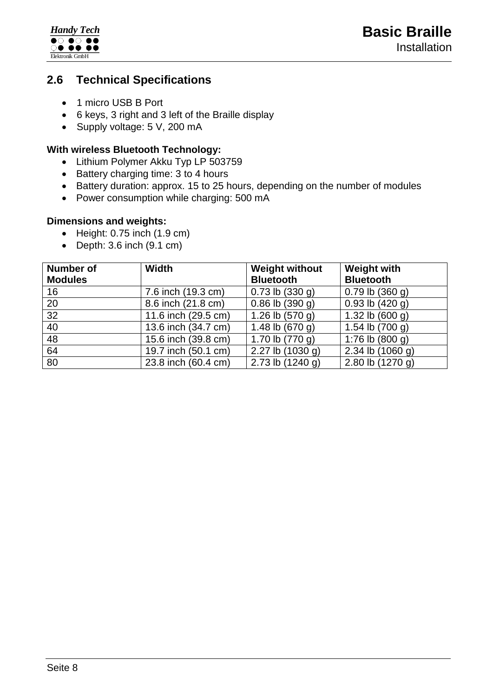

### <span id="page-8-0"></span>**2.6 Technical Specifications**

- 1 micro USB B Port
- 6 keys, 3 right and 3 left of the Braille display
- Supply voltage: 5 V, 200 mA

#### **With wireless Bluetooth Technology:**

- Lithium Polymer Akku Typ LP 503759
- Battery charging time: 3 to 4 hours
- Battery duration: approx. 15 to 25 hours, depending on the number of modules
- Power consumption while charging: 500 mA

#### **Dimensions and weights:**

- $\bullet$  Height: 0.75 inch  $(1.9 \text{ cm})$
- $\bullet$  Depth: 3.6 inch  $(9.1 \text{ cm})$

| <b>Number of</b><br><b>Modules</b> | <b>Width</b>        | <b>Weight without</b><br><b>Bluetooth</b> | <b>Weight with</b><br><b>Bluetooth</b> |
|------------------------------------|---------------------|-------------------------------------------|----------------------------------------|
| 16                                 | 7.6 inch (19.3 cm)  | $0.73$ lb $(330$ g)                       | $0.79$ lb $(360$ g)                    |
| 20                                 | 8.6 inch (21.8 cm)  | $0.86$ lb $(390q)$                        | $0.93$ lb $(420 g)$                    |
| 32                                 | 11.6 inch (29.5 cm) | 1.26 lb $(570 g)$                         | 1.32 lb $(600 g)$                      |
| 40                                 | 13.6 inch (34.7 cm) | 1.48 lb $(670 g)$                         | 1.54 lb $(700 g)$                      |
| 48                                 | 15.6 inch (39.8 cm) | 1.70 lb $(770 g)$                         | 1:76 lb $(800 g)$                      |
| 64                                 | 19.7 inch (50.1 cm) | 2.27 lb $(1030 g)$                        | 2.34 lb $(1060 g)$                     |
| 80                                 | 23.8 inch (60.4 cm) | 2.73 lb $(1240 g)$                        | 2.80 lb $(1270 g)$                     |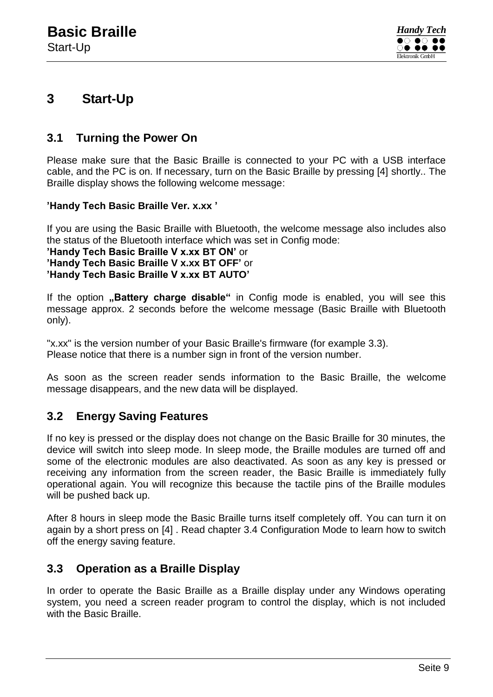

### <span id="page-9-0"></span>**3 Start-Up**

### <span id="page-9-1"></span>**3.1 Turning the Power On**

Please make sure that the Basic Braille is connected to your PC with a USB interface cable, and the PC is on. If necessary, turn on the Basic Braille by pressing [4] shortly.. The Braille display shows the following welcome message:

#### **'Handy Tech Basic Braille Ver. x.xx '**

If you are using the Basic Braille with Bluetooth, the welcome message also includes also the status of the Bluetooth interface which was set in Config mode:

**'Handy Tech Basic Braille V x.xx BT ON'** or **'Handy Tech Basic Braille V x.xx BT OFF'** or **'Handy Tech Basic Braille V x.xx BT AUTO'**

If the option "Battery charge disable" in Config mode is enabled, you will see this message approx. 2 seconds before the welcome message (Basic Braille with Bluetooth only).

"x.xx" is the version number of your Basic Braille's firmware (for example 3.3). Please notice that there is a number sign in front of the version number.

As soon as the screen reader sends information to the Basic Braille, the welcome message disappears, and the new data will be displayed.

### <span id="page-9-2"></span>**3.2 Energy Saving Features**

If no key is pressed or the display does not change on the Basic Braille for 30 minutes, the device will switch into sleep mode. In sleep mode, the Braille modules are turned off and some of the electronic modules are also deactivated. As soon as any key is pressed or receiving any information from the screen reader, the Basic Braille is immediately fully operational again. You will recognize this because the tactile pins of the Braille modules will be pushed back up.

After 8 hours in sleep mode the Basic Braille turns itself completely off. You can turn it on again by a short press on [4] . Read chapter [3.4](#page-10-0) [Configuration Mode](#page-10-0) to learn how to switch off the energy saving feature.

### <span id="page-9-3"></span>**3.3 Operation as a Braille Display**

In order to operate the Basic Braille as a Braille display under any Windows operating system, you need a screen reader program to control the display, which is not included with the Basic Braille.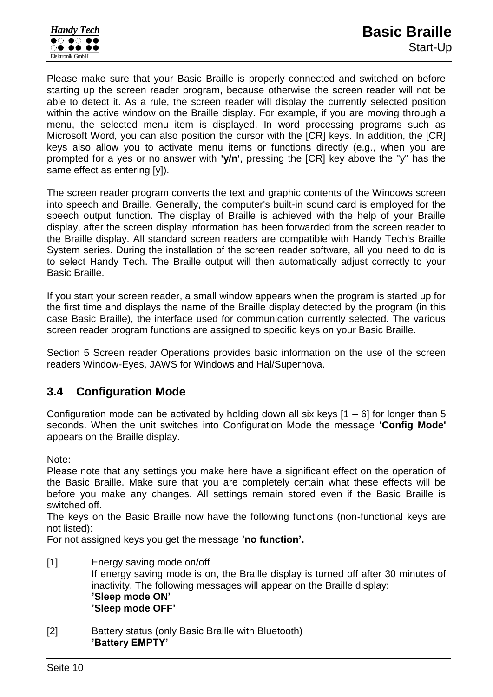Please make sure that your Basic Braille is properly connected and switched on before starting up the screen reader program, because otherwise the screen reader will not be able to detect it. As a rule, the screen reader will display the currently selected position within the active window on the Braille display. For example, if you are moving through a menu, the selected menu item is displayed. In word processing programs such as Microsoft Word, you can also position the cursor with the [CR] keys. In addition, the [CR] keys also allow you to activate menu items or functions directly (e.g., when you are prompted for a yes or no answer with **'y/n'**, pressing the [CR] key above the "y" has the same effect as entering [y]).

The screen reader program converts the text and graphic contents of the Windows screen into speech and Braille. Generally, the computer's built-in sound card is employed for the speech output function. The display of Braille is achieved with the help of your Braille display, after the screen display information has been forwarded from the screen reader to the Braille display. All standard screen readers are compatible with Handy Tech's Braille System series. During the installation of the screen reader software, all you need to do is to select Handy Tech. The Braille output will then automatically adjust correctly to your Basic Braille.

If you start your screen reader, a small window appears when the program is started up for the first time and displays the name of the Braille display detected by the program (in this case Basic Braille), the interface used for communication currently selected. The various screen reader program functions are assigned to specific keys on your Basic Braille.

Section [5](#page-17-0) [Screen reader Operations](#page-17-0) provides basic information on the use of the screen readers Window-Eyes, JAWS for Windows and Hal/Supernova.

### <span id="page-10-0"></span>**3.4 Configuration Mode**

Configuration mode can be activated by holding down all six keys  $[1 - 6]$  for longer than 5 seconds. When the unit switches into Configuration Mode the message **'Config Mode'**  appears on the Braille display.

Note:

Please note that any settings you make here have a significant effect on the operation of the Basic Braille. Make sure that you are completely certain what these effects will be before you make any changes. All settings remain stored even if the Basic Braille is switched off.

The keys on the Basic Braille now have the following functions (non-functional keys are not listed):

For not assigned keys you get the message **'no function'.**

- [1] Energy saving mode on/off If energy saving mode is on, the Braille display is turned off after 30 minutes of inactivity. The following messages will appear on the Braille display: **'Sleep mode ON' 'Sleep mode OFF'**
- [2] Battery status (only Basic Braille with Bluetooth) **'Battery EMPTY'**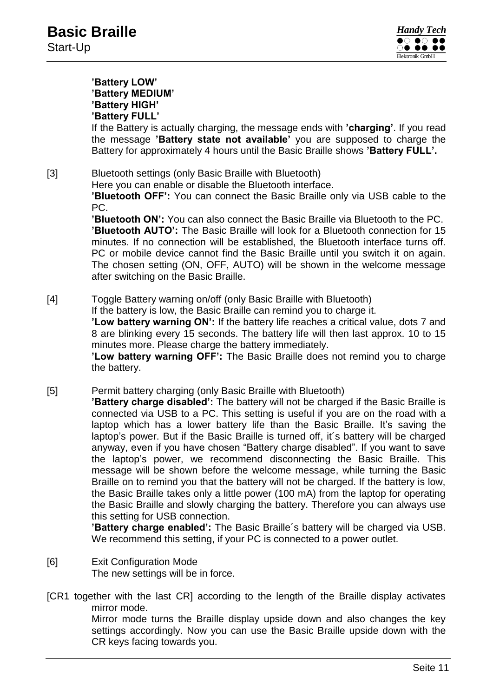

#### **'Battery LOW' 'Battery MEDIUM' 'Battery HIGH' 'Battery FULL'**

If the Battery is actually charging, the message ends with **'charging'**. If you read the message **'Battery state not available'** you are supposed to charge the Battery for approximately 4 hours until the Basic Braille shows **'Battery FULL'.**

[3] Bluetooth settings (only Basic Braille with Bluetooth)

Here you can enable or disable the Bluetooth interface.

**'Bluetooth OFF':** You can connect the Basic Braille only via USB cable to the PC.

**'Bluetooth ON':** You can also connect the Basic Braille via Bluetooth to the PC. **'Bluetooth AUTO':** The Basic Braille will look for a Bluetooth connection for 15 minutes. If no connection will be established, the Bluetooth interface turns off. PC or mobile device cannot find the Basic Braille until you switch it on again. The chosen setting (ON, OFF, AUTO) will be shown in the welcome message after switching on the Basic Braille.

[4] Toggle Battery warning on/off (only Basic Braille with Bluetooth) If the battery is low, the Basic Braille can remind you to charge it.

**'Low battery warning ON':** If the battery life reaches a critical value, dots 7 and 8 are blinking every 15 seconds. The battery life will then last approx. 10 to 15 minutes more. Please charge the battery immediately.

**'Low battery warning OFF':** The Basic Braille does not remind you to charge the battery.

[5] Permit battery charging (only Basic Braille with Bluetooth)

**'Battery charge disabled':** The battery will not be charged if the Basic Braille is connected via USB to a PC. This setting is useful if you are on the road with a laptop which has a lower battery life than the Basic Braille. It's saving the laptop's power. But if the Basic Braille is turned off, it´s battery will be charged anyway, even if you have chosen "Battery charge disabled". If you want to save the laptop's power, we recommend disconnecting the Basic Braille. This message will be shown before the welcome message, while turning the Basic Braille on to remind you that the battery will not be charged. If the battery is low, the Basic Braille takes only a little power (100 mA) from the laptop for operating the Basic Braille and slowly charging the battery. Therefore you can always use this setting for USB connection.

**'Battery charge enabled':** The Basic Braille´s battery will be charged via USB. We recommend this setting, if your PC is connected to a power outlet.

- [6] Exit Configuration Mode The new settings will be in force.
- [CR1 together with the last CR] according to the length of the Braille display activates mirror mode.

Mirror mode turns the Braille display upside down and also changes the key settings accordingly. Now you can use the Basic Braille upside down with the CR keys facing towards you.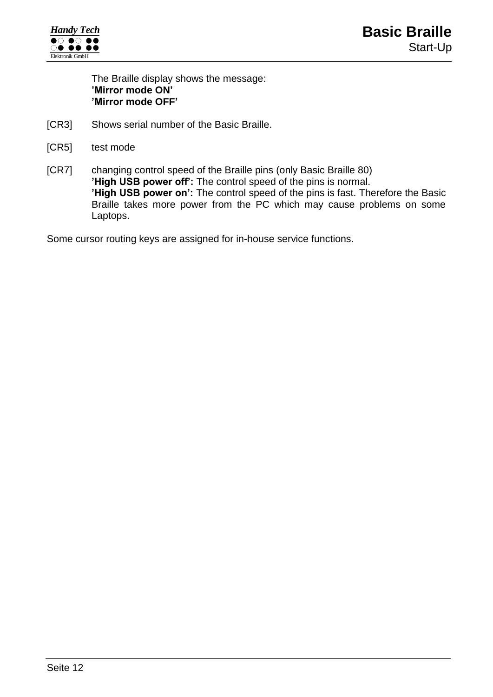

The Braille display shows the message: **'Mirror mode ON' 'Mirror mode OFF'**

- [CR3] Shows serial number of the Basic Braille.
- [CR5] test mode
- [CR7] changing control speed of the Braille pins (only Basic Braille 80) **'High USB power off':** The control speed of the pins is normal. **'High USB power on':** The control speed of the pins is fast. Therefore the Basic Braille takes more power from the PC which may cause problems on some Laptops.

Some cursor routing keys are assigned for in-house service functions.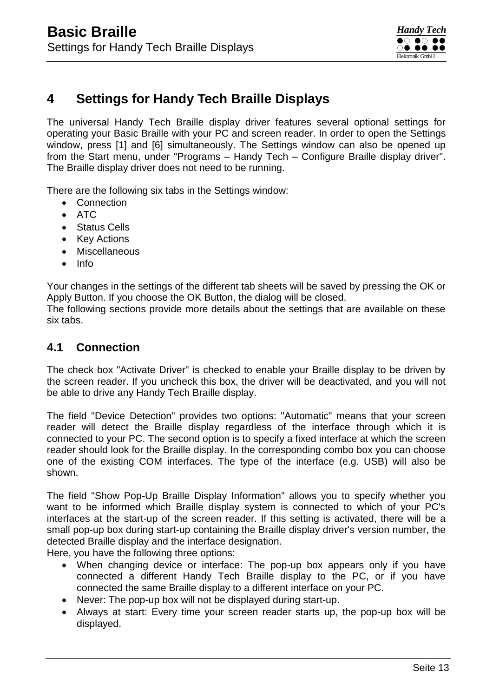## <span id="page-13-0"></span>**4 Settings for Handy Tech Braille Displays**

The universal Handy Tech Braille display driver features several optional settings for operating your Basic Braille with your PC and screen reader. In order to open the Settings window, press [1] and [6] simultaneously. The Settings window can also be opened up from the Start menu, under "Programs – Handy Tech – Configure Braille display driver". The Braille display driver does not need to be running.

There are the following six tabs in the Settings window:

- Connection
- $\bullet$  ATC
- Status Cells
- Key Actions
- Miscellaneous
- $\bullet$  Info

Your changes in the settings of the different tab sheets will be saved by pressing the OK or Apply Button. If you choose the OK Button, the dialog will be closed.

The following sections provide more details about the settings that are available on these six tabs.

### <span id="page-13-1"></span>**4.1 Connection**

The check box "Activate Driver" is checked to enable your Braille display to be driven by the screen reader. If you uncheck this box, the driver will be deactivated, and you will not be able to drive any Handy Tech Braille display.

The field "Device Detection" provides two options: "Automatic" means that your screen reader will detect the Braille display regardless of the interface through which it is connected to your PC. The second option is to specify a fixed interface at which the screen reader should look for the Braille display. In the corresponding combo box you can choose one of the existing COM interfaces. The type of the interface (e.g. USB) will also be shown.

The field "Show Pop-Up Braille Display Information" allows you to specify whether you want to be informed which Braille display system is connected to which of your PC's interfaces at the start-up of the screen reader. If this setting is activated, there will be a small pop-up box during start-up containing the Braille display driver's version number, the detected Braille display and the interface designation.

Here, you have the following three options:

- When changing device or interface: The pop-up box appears only if you have connected a different Handy Tech Braille display to the PC, or if you have connected the same Braille display to a different interface on your PC.
- Never: The pop-up box will not be displayed during start-up.
- Always at start: Every time your screen reader starts up, the pop-up box will be displayed.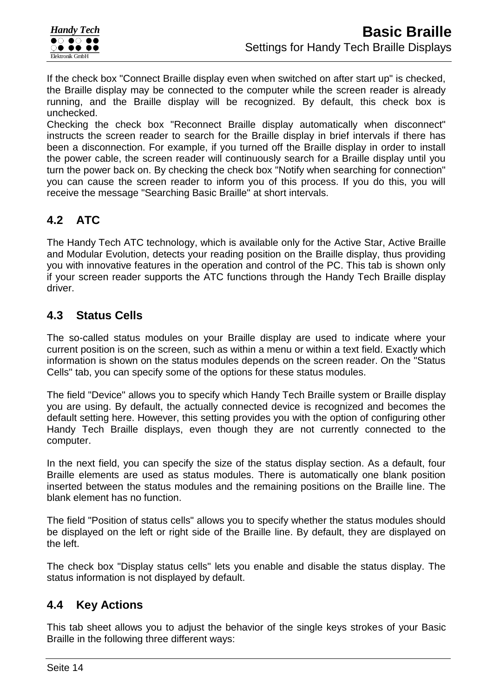If the check box "Connect Braille display even when switched on after start up" is checked, the Braille display may be connected to the computer while the screen reader is already running, and the Braille display will be recognized. By default, this check box is unchecked.

Checking the check box "Reconnect Braille display automatically when disconnect" instructs the screen reader to search for the Braille display in brief intervals if there has been a disconnection. For example, if you turned off the Braille display in order to install the power cable, the screen reader will continuously search for a Braille display until you turn the power back on. By checking the check box "Notify when searching for connection" you can cause the screen reader to inform you of this process. If you do this, you will receive the message "Searching Basic Braille" at short intervals.

### <span id="page-14-0"></span>**4.2 ATC**

The Handy Tech ATC technology, which is available only for the Active Star, Active Braille and Modular Evolution, detects your reading position on the Braille display, thus providing you with innovative features in the operation and control of the PC. This tab is shown only if your screen reader supports the ATC functions through the Handy Tech Braille display driver.

### <span id="page-14-1"></span>**4.3 Status Cells**

The so-called status modules on your Braille display are used to indicate where your current position is on the screen, such as within a menu or within a text field. Exactly which information is shown on the status modules depends on the screen reader. On the "Status Cells" tab, you can specify some of the options for these status modules.

The field "Device" allows you to specify which Handy Tech Braille system or Braille display you are using. By default, the actually connected device is recognized and becomes the default setting here. However, this setting provides you with the option of configuring other Handy Tech Braille displays, even though they are not currently connected to the computer.

In the next field, you can specify the size of the status display section. As a default, four Braille elements are used as status modules. There is automatically one blank position inserted between the status modules and the remaining positions on the Braille line. The blank element has no function.

The field "Position of status cells" allows you to specify whether the status modules should be displayed on the left or right side of the Braille line. By default, they are displayed on the left.

The check box "Display status cells" lets you enable and disable the status display. The status information is not displayed by default.

### <span id="page-14-2"></span>**4.4 Key Actions**

This tab sheet allows you to adjust the behavior of the single keys strokes of your Basic Braille in the following three different ways: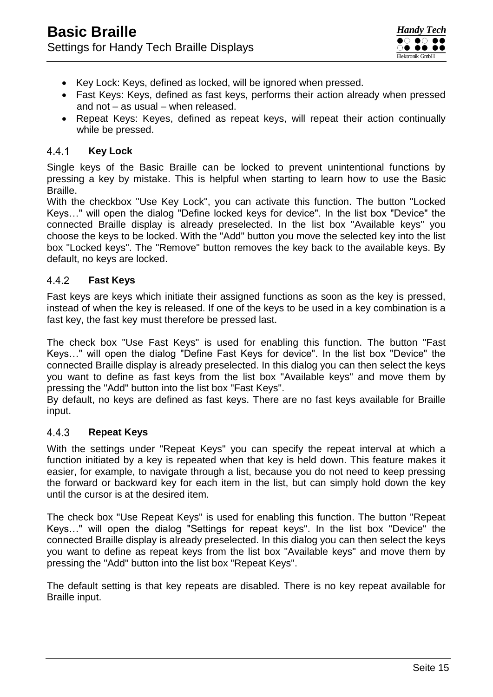- Key Lock: Keys, defined as locked, will be ignored when pressed.
- Fast Keys: Keys, defined as fast keys, performs their action already when pressed and not – as usual – when released.
- Repeat Keys: Keyes, defined as repeat keys, will repeat their action continually while be pressed.

#### <span id="page-15-0"></span> $4.4.1$ **Key Lock**

Single keys of the Basic Braille can be locked to prevent unintentional functions by pressing a key by mistake. This is helpful when starting to learn how to use the Basic Braille.

With the checkbox "Use Key Lock", you can activate this function. The button "Locked Keys…" will open the dialog "Define locked keys for device". In the list box "Device" the connected Braille display is already preselected. In the list box "Available keys" you choose the keys to be locked. With the "Add" button you move the selected key into the list box "Locked keys". The "Remove" button removes the key back to the available keys. By default, no keys are locked.

#### <span id="page-15-1"></span> $4.4.2$ **Fast Keys**

Fast keys are keys which initiate their assigned functions as soon as the key is pressed, instead of when the key is released. If one of the keys to be used in a key combination is a fast key, the fast key must therefore be pressed last.

The check box "Use Fast Keys" is used for enabling this function. The button "Fast Keys…" will open the dialog "Define Fast Keys for device". In the list box "Device" the connected Braille display is already preselected. In this dialog you can then select the keys you want to define as fast keys from the list box "Available keys" and move them by pressing the "Add" button into the list box "Fast Keys".

By default, no keys are defined as fast keys. There are no fast keys available for Braille input.

#### <span id="page-15-2"></span>4.4.3 **Repeat Keys**

With the settings under "Repeat Keys" you can specify the repeat interval at which a function initiated by a key is repeated when that key is held down. This feature makes it easier, for example, to navigate through a list, because you do not need to keep pressing the forward or backward key for each item in the list, but can simply hold down the key until the cursor is at the desired item.

The check box "Use Repeat Keys" is used for enabling this function. The button "Repeat Keys…" will open the dialog "Settings for repeat keys". In the list box "Device" the connected Braille display is already preselected. In this dialog you can then select the keys you want to define as repeat keys from the list box "Available keys" and move them by pressing the "Add" button into the list box "Repeat Keys".

The default setting is that key repeats are disabled. There is no key repeat available for Braille input.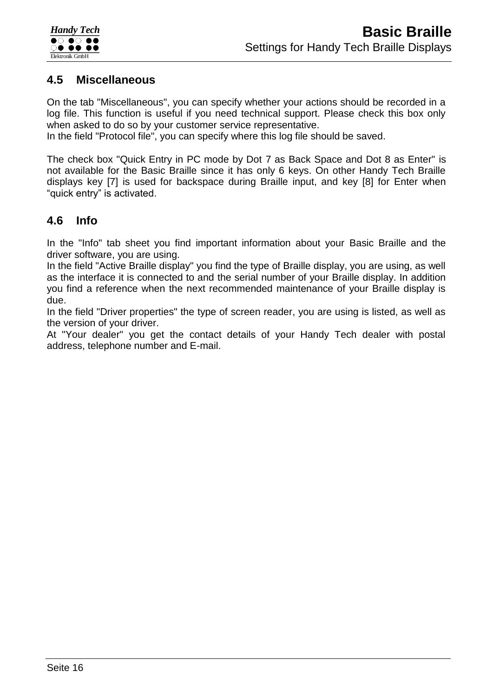

### <span id="page-16-0"></span>**4.5 Miscellaneous**

On the tab "Miscellaneous", you can specify whether your actions should be recorded in a log file. This function is useful if you need technical support. Please check this box only when asked to do so by your customer service representative.

In the field "Protocol file", you can specify where this log file should be saved.

The check box "Quick Entry in PC mode by Dot 7 as Back Space and Dot 8 as Enter" is not available for the Basic Braille since it has only 6 keys. On other Handy Tech Braille displays key [7] is used for backspace during Braille input, and key [8] for Enter when "quick entry" is activated.

### <span id="page-16-1"></span>**4.6 Info**

In the "Info" tab sheet you find important information about your Basic Braille and the driver software, you are using.

In the field "Active Braille display" you find the type of Braille display, you are using, as well as the interface it is connected to and the serial number of your Braille display. In addition you find a reference when the next recommended maintenance of your Braille display is due.

In the field "Driver properties" the type of screen reader, you are using is listed, as well as the version of your driver.

At "Your dealer" you get the contact details of your Handy Tech dealer with postal address, telephone number and E-mail.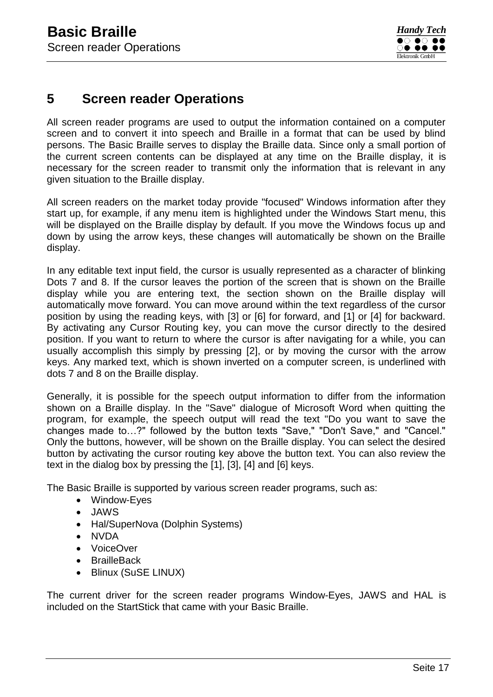## <span id="page-17-0"></span>**5 Screen reader Operations**

All screen reader programs are used to output the information contained on a computer screen and to convert it into speech and Braille in a format that can be used by blind persons. The Basic Braille serves to display the Braille data. Since only a small portion of the current screen contents can be displayed at any time on the Braille display, it is necessary for the screen reader to transmit only the information that is relevant in any given situation to the Braille display.

All screen readers on the market today provide "focused" Windows information after they start up, for example, if any menu item is highlighted under the Windows Start menu, this will be displayed on the Braille display by default. If you move the Windows focus up and down by using the arrow keys, these changes will automatically be shown on the Braille display.

In any editable text input field, the cursor is usually represented as a character of blinking Dots 7 and 8. If the cursor leaves the portion of the screen that is shown on the Braille display while you are entering text, the section shown on the Braille display will automatically move forward. You can move around within the text regardless of the cursor position by using the reading keys, with [3] or [6] for forward, and [1] or [4] for backward. By activating any Cursor Routing key, you can move the cursor directly to the desired position. If you want to return to where the cursor is after navigating for a while, you can usually accomplish this simply by pressing [2], or by moving the cursor with the arrow keys. Any marked text, which is shown inverted on a computer screen, is underlined with dots 7 and 8 on the Braille display.

Generally, it is possible for the speech output information to differ from the information shown on a Braille display. In the "Save" dialogue of Microsoft Word when quitting the program, for example, the speech output will read the text "Do you want to save the changes made to…?" followed by the button texts "Save," "Don't Save," and "Cancel." Only the buttons, however, will be shown on the Braille display. You can select the desired button by activating the cursor routing key above the button text. You can also review the text in the dialog box by pressing the [1], [3], [4] and [6] keys.

The Basic Braille is supported by various screen reader programs, such as:

- Window-Eyes
- JAWS
- Hal/SuperNova (Dolphin Systems)
- NVDA
- VoiceOver
- BrailleBack
- Blinux (SuSE LINUX)

The current driver for the screen reader programs Window-Eyes, JAWS and HAL is included on the StartStick that came with your Basic Braille.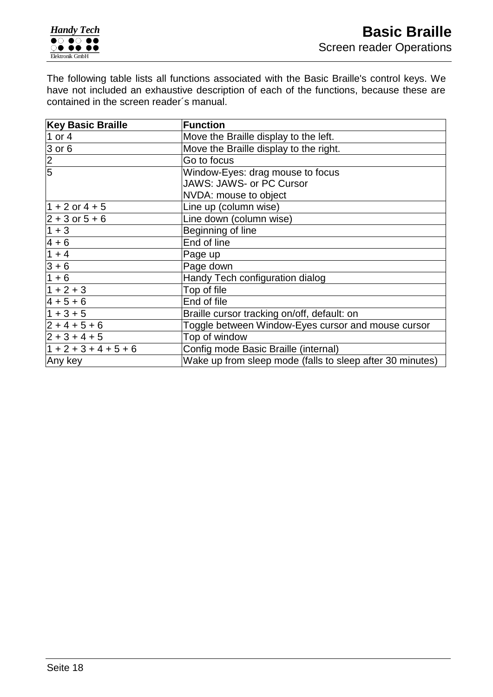The following table lists all functions associated with the Basic Braille's control keys. We have not included an exhaustive description of each of the functions, because these are contained in the screen reader´s manual.

| <b>Key Basic Braille</b> | <b>Function</b>                                           |  |  |
|--------------------------|-----------------------------------------------------------|--|--|
| 1 or 4                   | Move the Braille display to the left.                     |  |  |
| $3$ or 6                 | Move the Braille display to the right.                    |  |  |
| $\frac{2}{5}$            | Go to focus                                               |  |  |
|                          | Window-Eyes: drag mouse to focus                          |  |  |
|                          | <b>JAWS: JAWS- or PC Cursor</b>                           |  |  |
|                          | NVDA: mouse to object                                     |  |  |
| $1 + 2$ or $4 + 5$       | Line up (column wise)                                     |  |  |
| $ 2 + 3$ or $5 + 6$      | Line down (column wise)                                   |  |  |
| $1 + 3$                  | Beginning of line                                         |  |  |
| $4 + 6$                  | End of line                                               |  |  |
| $1 + 4$                  | Page up                                                   |  |  |
| $3 + 6$                  | Page down                                                 |  |  |
| $1 + 6$                  | Handy Tech configuration dialog                           |  |  |
| $1 + 2 + 3$              | Top of file                                               |  |  |
| $4 + 5 + 6$              | End of file                                               |  |  |
| $1 + 3 + 5$              | Braille cursor tracking on/off, default: on               |  |  |
| $ 2 + 4 + 5 + 6 $        | Toggle between Window-Eyes cursor and mouse cursor        |  |  |
| $ 2 + 3 + 4 + 5 $        | Top of window                                             |  |  |
| $1 + 2 + 3 + 4 + 5 + 6$  | Config mode Basic Braille (internal)                      |  |  |
| Any key                  | Wake up from sleep mode (falls to sleep after 30 minutes) |  |  |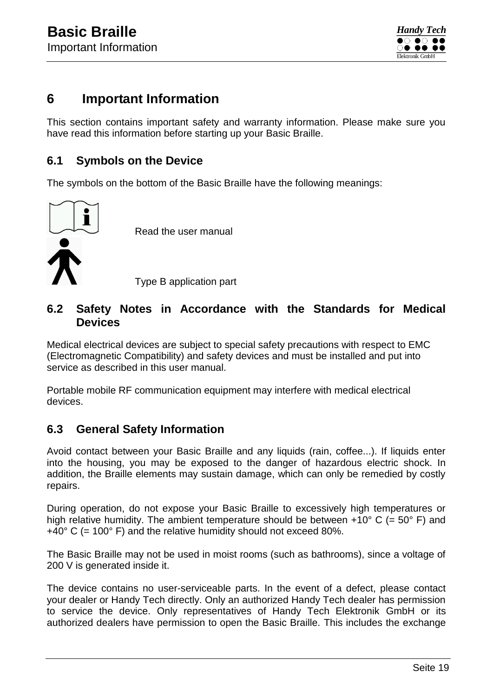

### <span id="page-19-0"></span>**6 Important Information**

This section contains important safety and warranty information. Please make sure you have read this information before starting up your Basic Braille.

### <span id="page-19-1"></span>**6.1 Symbols on the Device**

The symbols on the bottom of the Basic Braille have the following meanings:



### <span id="page-19-2"></span>**6.2 Safety Notes in Accordance with the Standards for Medical Devices**

Medical electrical devices are subject to special safety precautions with respect to EMC (Electromagnetic Compatibility) and safety devices and must be installed and put into service as described in this user manual.

Portable mobile RF communication equipment may interfere with medical electrical devices.

### <span id="page-19-3"></span>**6.3 General Safety Information**

Avoid contact between your Basic Braille and any liquids (rain, coffee...). If liquids enter into the housing, you may be exposed to the danger of hazardous electric shock. In addition, the Braille elements may sustain damage, which can only be remedied by costly repairs.

During operation, do not expose your Basic Braille to excessively high temperatures or high relative humidity. The ambient temperature should be between  $+10^{\circ}$  C (= 50° F) and  $+40^{\circ}$  C (= 100 $^{\circ}$  F) and the relative humidity should not exceed 80%.

The Basic Braille may not be used in moist rooms (such as bathrooms), since a voltage of 200 V is generated inside it.

The device contains no user-serviceable parts. In the event of a defect, please contact your dealer or Handy Tech directly. Only an authorized Handy Tech dealer has permission to service the device. Only representatives of Handy Tech Elektronik GmbH or its authorized dealers have permission to open the Basic Braille. This includes the exchange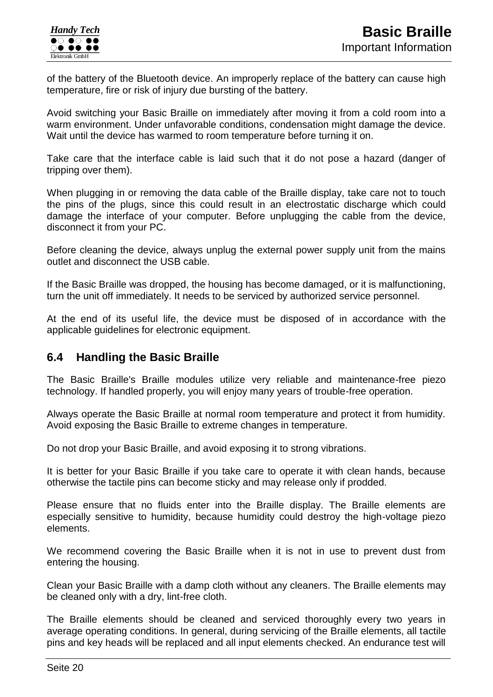of the battery of the Bluetooth device. An improperly replace of the battery can cause high temperature, fire or risk of injury due bursting of the battery.

Avoid switching your Basic Braille on immediately after moving it from a cold room into a warm environment. Under unfavorable conditions, condensation might damage the device. Wait until the device has warmed to room temperature before turning it on.

Take care that the interface cable is laid such that it do not pose a hazard (danger of tripping over them).

When plugging in or removing the data cable of the Braille display, take care not to touch the pins of the plugs, since this could result in an electrostatic discharge which could damage the interface of your computer. Before unplugging the cable from the device, disconnect it from your PC.

Before cleaning the device, always unplug the external power supply unit from the mains outlet and disconnect the USB cable.

If the Basic Braille was dropped, the housing has become damaged, or it is malfunctioning, turn the unit off immediately. It needs to be serviced by authorized service personnel.

At the end of its useful life, the device must be disposed of in accordance with the applicable guidelines for electronic equipment.

### <span id="page-20-0"></span>**6.4 Handling the Basic Braille**

The Basic Braille's Braille modules utilize very reliable and maintenance-free piezo technology. If handled properly, you will enjoy many years of trouble-free operation.

Always operate the Basic Braille at normal room temperature and protect it from humidity. Avoid exposing the Basic Braille to extreme changes in temperature.

Do not drop your Basic Braille, and avoid exposing it to strong vibrations.

It is better for your Basic Braille if you take care to operate it with clean hands, because otherwise the tactile pins can become sticky and may release only if prodded.

Please ensure that no fluids enter into the Braille display. The Braille elements are especially sensitive to humidity, because humidity could destroy the high-voltage piezo elements.

We recommend covering the Basic Braille when it is not in use to prevent dust from entering the housing.

Clean your Basic Braille with a damp cloth without any cleaners. The Braille elements may be cleaned only with a dry, lint-free cloth.

The Braille elements should be cleaned and serviced thoroughly every two years in average operating conditions. In general, during servicing of the Braille elements, all tactile pins and key heads will be replaced and all input elements checked. An endurance test will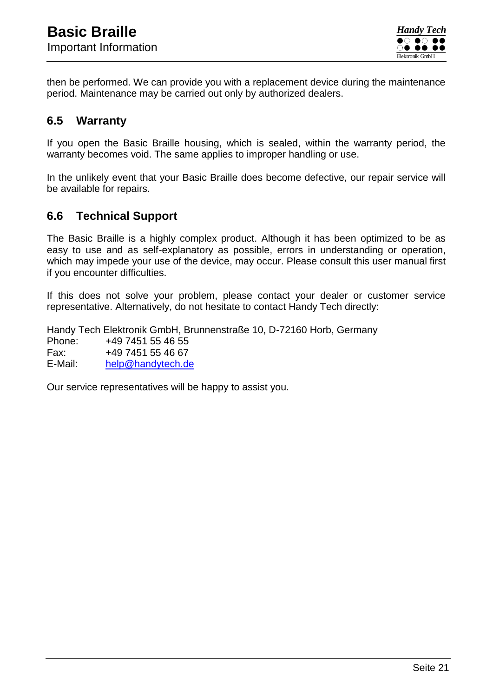then be performed. We can provide you with a replacement device during the maintenance period. Maintenance may be carried out only by authorized dealers.

### <span id="page-21-0"></span>**6.5 Warranty**

If you open the Basic Braille housing, which is sealed, within the warranty period, the warranty becomes void. The same applies to improper handling or use.

In the unlikely event that your Basic Braille does become defective, our repair service will be available for repairs.

### <span id="page-21-1"></span>**6.6 Technical Support**

The Basic Braille is a highly complex product. Although it has been optimized to be as easy to use and as self-explanatory as possible, errors in understanding or operation, which may impede your use of the device, may occur. Please consult this user manual first if you encounter difficulties.

If this does not solve your problem, please contact your dealer or customer service representative. Alternatively, do not hesitate to contact Handy Tech directly:

Handy Tech Elektronik GmbH, Brunnenstraße 10, D-72160 Horb, Germany Phone: +49 7451 55 46 55 Fax: +49 7451 55 46 67 E-Mail: [help@handytech.de](mailto:help@handytech.de)

Our service representatives will be happy to assist you.